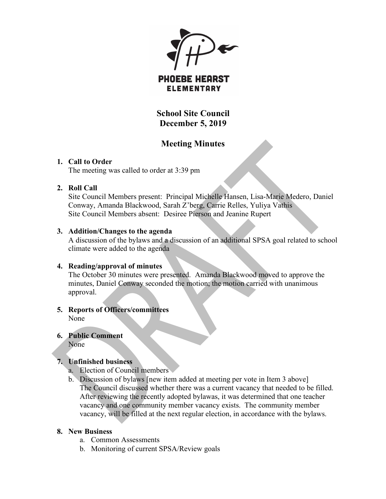$\blacktriangleright$ 

**PHOEBE HEARST ELEMENTARY** 

**School Site Council December 5, 2019**

# **Meeting Minutes**

### **1. Call to Order**

The meeting was called to order at 3:39 pm

### **2. Roll Call**

Site Council Members present: Principal Michelle Hansen, Lisa-Marie Medero, Daniel Conway, Amanda Blackwood, Sarah Z'berg, Carrie Relles, Yuliya Vathis Site Council Members absent: Desiree Pierson and Jeanine Rupert

### **3. Addition/Changes to the agenda**

A discussion of the bylaws and a discussion of an additional SPSA goal related to school climate were added to the agenda

### **4. Reading/approval of minutes**

The October 30 minutes were presented. Amanda Blackwood moved to approve the minutes, Daniel Conway seconded the motion; the motion carried with unanimous approval.

#### **5. Reports of Officers/committees** None

## **6. Public Comment**

None

### **7. Unfinished business**

- a. Election of Council members
- b. Discussion of bylaws [new item added at meeting per vote in Item 3 above] The Council discussed whether there was a current vacancy that needed to be filled. After reviewing the recently adopted bylawas, it was determined that one teacher vacancy and one community member vacancy exists. The community member vacancy, will be filled at the next regular election, in accordance with the bylaws.

### **8. New Business**

- a. Common Assessments
- b. Monitoring of current SPSA/Review goals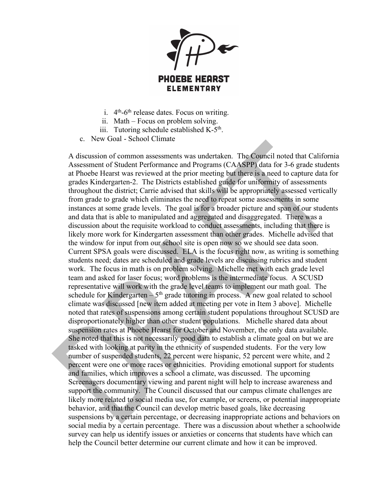

- i.  $4<sup>th</sup>$ -6<sup>th</sup> release dates. Focus on writing.
- ii. Math Focus on problem solving.
- iii. Tutoring schedule established  $K-5<sup>th</sup>$ .
- c. New Goal School Climate

A discussion of common assessments was undertaken. The Council noted that California Assessment of Student Performance and Programs (CAASPP) data for 3-6 grade students at Phoebe Hearst was reviewed at the prior meeting but there is a need to capture data for grades Kindergarten-2. The Districts established guide for uniformity of assessments throughout the district; Carrie advised that skills will be appropriately assessed vertically from grade to grade which eliminates the need to repeat some assessments in some instances at some grade levels. The goal is for a broader picture and span of our students and data that is able to manipulated and aggregated and disaggregated. There was a discussion about the requisite workload to conduct assessments, including that there is likely more work for Kindergarten assessment than other grades. Michelle advised that the window for input from our school site is open now so we should see data soon. Current SPSA goals were discussed. ELA is the focus right now, as writing is something students need; dates are scheduled and grade levels are discussing rubrics and student work. The focus in math is on problem solving. Michelle met with each grade level team and asked for laser focus; word problems is the intermediate focus. A SCUSD representative will work with the grade level teams to implement our math goal. The schedule for Kindergarten –  $5<sup>th</sup>$  grade tutoring in process. A new goal related to school climate was discussed [new item added at meeting per vote in Item 3 above]. Michelle noted that rates of suspensions among certain student populations throughout SCUSD are disproportionately higher than other student populations. Michelle shared data about suspension rates at Phoebe Hearst for October and November, the only data available. She noted that this is not necessarily good data to establish a climate goal on but we are tasked with looking at parity in the ethnicity of suspended students. For the very low number of suspended students, 22 percent were hispanic, 52 percent were white, and 2 percent were one or more races or ethnicities. Providing emotional support for students and families, which improves a school a climate, was discussed. The upcoming Screenagers documentary viewing and parent night will help to increase awareness and support the community. The Council discussed that our campus climate challenges are likely more related to social media use, for example, or screens, or potential inappropriate behavior, and that the Council can develop metric based goals, like decreasing suspensions by a certain percentage, or decreasing inappropriate actions and behaviors on social media by a certain percentage. There was a discussion about whether a schoolwide survey can help us identify issues or anxieties or concerns that students have which can help the Council better determine our current climate and how it can be improved.